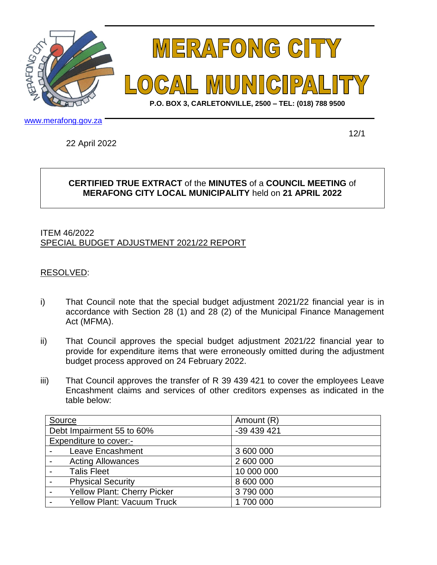

www.merafong.gov.za

22 April 2022

12/1

## **CERTIFIED TRUE EXTRACT** of the **MINUTES** of a **COUNCIL MEETING** of **MERAFONG CITY LOCAL MUNICIPALITY** held on **21 APRIL 2022**

## ITEM 46/2022 SPECIAL BUDGET ADJUSTMENT 2021/22 REPORT

## RESOLVED:

- i) That Council note that the special budget adjustment 2021/22 financial year is in accordance with Section 28 (1) and 28 (2) of the Municipal Finance Management Act (MFMA).
- ii) That Council approves the special budget adjustment 2021/22 financial year to provide for expenditure items that were erroneously omitted during the adjustment budget process approved on 24 February 2022.
- iii) That Council approves the transfer of R 39 439 421 to cover the employees Leave Encashment claims and services of other creditors expenses as indicated in the table below:

| Source                             | Amount (R)  |
|------------------------------------|-------------|
| Debt Impairment 55 to 60%          | -39 439 421 |
| Expenditure to cover:-             |             |
| Leave Encashment                   | 3 600 000   |
| <b>Acting Allowances</b>           | 2 600 000   |
| <b>Talis Fleet</b>                 | 10 000 000  |
| <b>Physical Security</b>           | 8 600 000   |
| <b>Yellow Plant: Cherry Picker</b> | 3790000     |
| <b>Yellow Plant: Vacuum Truck</b>  | 1 700 000   |